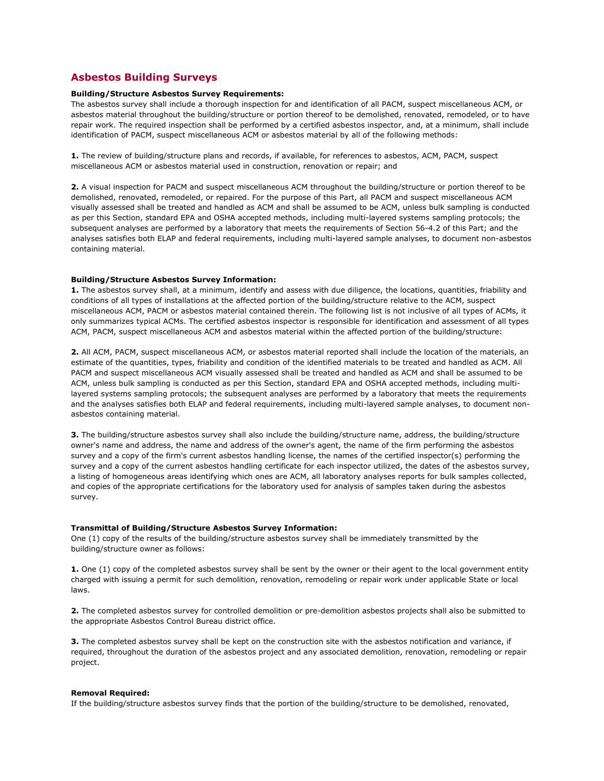# **Asbestos Building Surveys**

## **Building/Structure Asbestos Survey Requirements:**

The asbestos survey shall include a thorough inspection for and identification of all PACM, suspect miscellaneous ACM, or asbestos material throughout the building/structure or portion thereof to be demolished, renovated, remodeled, or to have repair work. The required inspection shall be performed by a certified asbestos inspector, and, at a minimum, shall include identification of PACM, suspect miscellaneous ACM or asbestos material by all of the following methods:

**1.** The review of building/structure plans and records, if available, for references to asbestos, ACM, PACM, suspect miscellaneous ACM or asbestos material used in construction, renovation or repair; and

**2.** A visual inspection for PACM and suspect miscellaneous ACM throughout the building/structure or portion thereof to be demolished, renovated, remodeled, or repaired. For the purpose of this Part, all PACM and suspect miscellaneous ACM visually assessed shall be treated and handled as ACM and shall be assumed to be ACM, unless bulk sampling is conducted as per this Section, standard EPA and OSHA accepted methods, including multi-layered systems sampling protocols; the subsequent analyses are performed by a laboratory that meets the requirements of Section 56-4.2 of this Part; and the analyses satisfies both ELAP and federal requirements, including multi-layered sample analyses, to document non-asbestos containing material.

#### **Building/Structure Asbestos Survey Information:**

**1.** The asbestos survey shall, at a minimum, identify and assess with due diligence, the locations, quantities, friability and conditions of all types of installations at the affected portion of the building/structure relative to the ACM, suspect miscellaneous ACM, PACM or asbestos material contained therein. The following list is not inclusive of all types of ACMs, it only summarizes typical ACMs. The certified asbestos inspector is responsible for identification and assessment of all types ACM, PACM, suspect miscellaneous ACM and asbestos material within the affected portion of the building/structure:

**2.** All ACM, PACM, suspect miscellaneous ACM, or asbestos material reported shall include the location of the materials, an estimate of the quantities, types, friability and condition of the identified materials to be treated and handled as ACM. All PACM and suspect miscellaneous ACM visually assessed shall be treated and handled as ACM and shall be assumed to be ACM, unless bulk sampling is conducted as per this Section, standard EPA and OSHA accepted methods, including multilayered systems sampling protocols; the subsequent analyses are performed by a laboratory that meets the requirements and the analyses satisfies both ELAP and federal requirements, including multi-layered sample analyses, to document nonasbestos containing material.

**3.** The building/structure asbestos survey shall also include the building/structure name, address, the building/structure owner's name and address, the name and address of the owner's agent, the name of the firm performing the asbestos survey and a copy of the firm's current asbestos handling license, the names of the certified inspector(s) performing the survey and a copy of the current asbestos handling certificate for each inspector utilized, the dates of the asbestos survey, a listing of homogeneous areas identifying which ones are ACM, all laboratory analyses reports for bulk samples collected, and copies of the appropriate certifications for the laboratory used for analysis of samples taken during the asbestos survey.

#### **Transmittal of Building/Structure Asbestos Survey Information:**

One (1) copy of the results of the building/structure asbestos survey shall be immediately transmitted by the building/structure owner as follows:

**1.** One (1) copy of the completed asbestos survey shall be sent by the owner or their agent to the local government entity charged with issuing a permit for such demolition, renovation, remodeling or repair work under applicable State or local laws.

**2.** The completed asbestos survey for controlled demolition or pre-demolition asbestos projects shall also be submitted to the appropriate Asbestos Control Bureau district office.

**3.** The completed asbestos survey shall be kept on the construction site with the asbestos notification and variance, if required, throughout the duration of the asbestos project and any associated demolition, renovation, remodeling or repair project.

## **Removal Required:**

If the building/structure asbestos survey finds that the portion of the building/structure to be demolished, renovated,